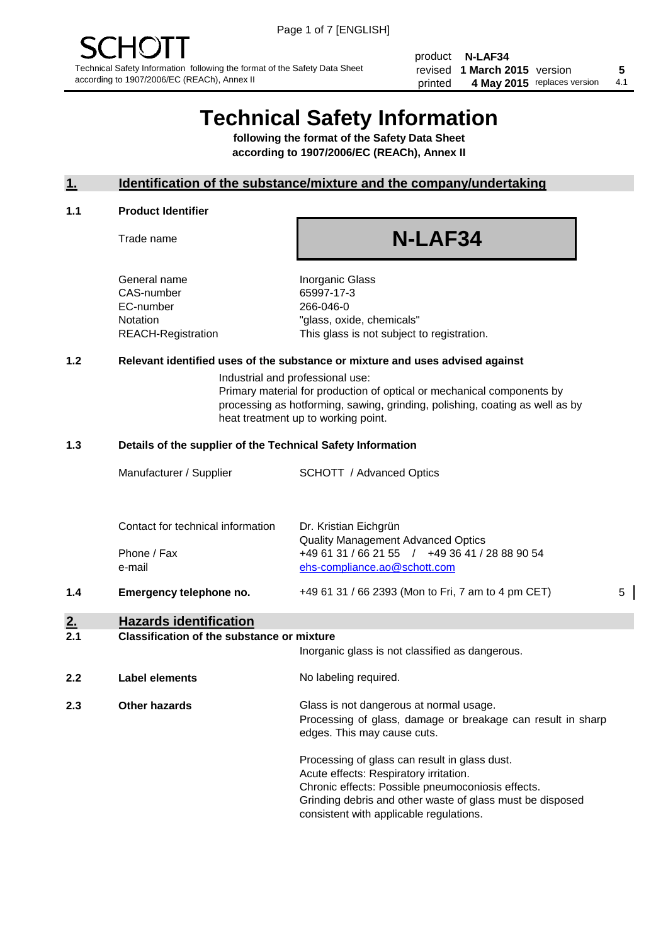product **N-LAF34** revised **5 1 March 2015** version printed 4 May 2015 replaces version 4.1

## **Technical Safety Information**

**following the format of the Safety Data Sheet according to 1907/2006/EC (REACh), Annex II**

#### **1. Identification of the substance/mixture and the company/undertaking**

#### **1.1 Product Identifier**

Trade name

# **N-LAF34**

General name **Inorganic Glass** CAS-number 65997-17-3 EC-number 266-046-0

Notation "glass, oxide, chemicals" REACH-Registration This glass is not subject to registration.

#### **1.2 Relevant identified uses of the substance or mixture and uses advised against**

Industrial and professional use: Primary material for production of optical or mechanical components by processing as hotforming, sawing, grinding, polishing, coating as well as by heat treatment up to working point.

#### **1.3 Details of the supplier of the Technical Safety Information**

|     | Manufacturer / Supplier           | <b>SCHOTT</b> / Advanced Optics                                                                                      |   |
|-----|-----------------------------------|----------------------------------------------------------------------------------------------------------------------|---|
|     | Contact for technical information | Dr. Kristian Eichgrün                                                                                                |   |
|     | Phone / Fax<br>e-mail             | Quality Management Advanced Optics<br>+49 61 31 / 66 21 55 / +49 36 41 / 28 88 90 54<br>ehs-compliance.ao@schott.com |   |
| 1.4 | Emergency telephone no.           | +49 61 31 / 66 2393 (Mon to Fri, 7 am to 4 pm CET)                                                                   | 5 |

## **2. Hazards identification**

#### **2.1 Classification of the substance or mixture**

|     |                      | Inorganic glass is not classified as dangerous.                                                                                                                                                                                                      |
|-----|----------------------|------------------------------------------------------------------------------------------------------------------------------------------------------------------------------------------------------------------------------------------------------|
| 2.2 | Label elements       | No labeling required.                                                                                                                                                                                                                                |
| 2.3 | <b>Other hazards</b> | Glass is not dangerous at normal usage.<br>Processing of glass, damage or breakage can result in sharp<br>edges. This may cause cuts.                                                                                                                |
|     |                      | Processing of glass can result in glass dust.<br>Acute effects: Respiratory irritation.<br>Chronic effects: Possible pneumoconiosis effects.<br>Grinding debris and other waste of glass must be disposed<br>consistent with applicable regulations. |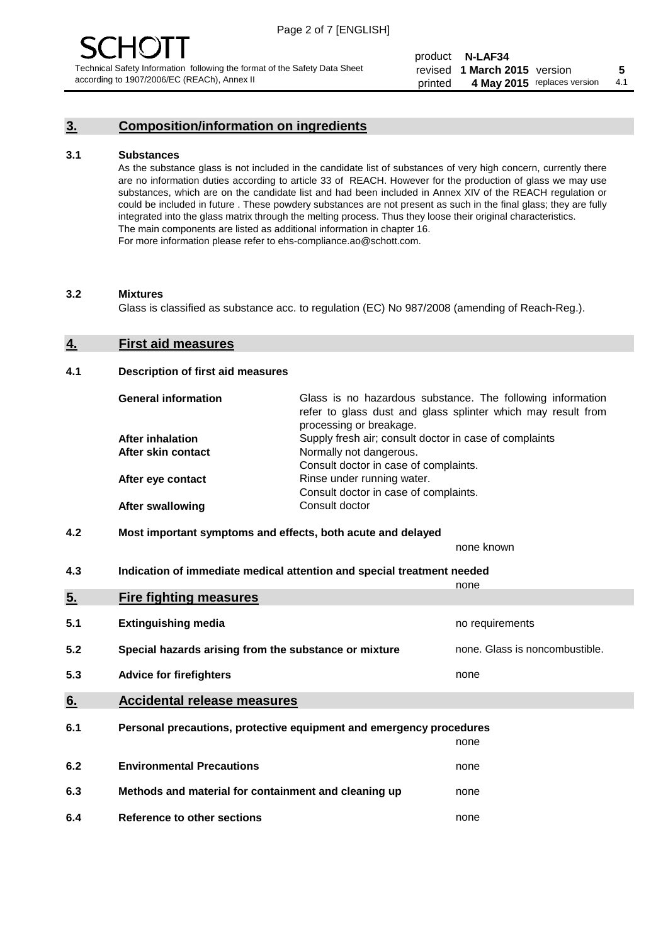#### **3. Composition/information on ingredients**

#### **3.1 Substances**

As the substance glass is not included in the candidate list of substances of very high concern, currently there are no information duties according to article 33 of REACH. However for the production of glass we may use substances, which are on the candidate list and had been included in Annex XIV of the REACH regulation or could be included in future . These powdery substances are not present as such in the final glass; they are fully integrated into the glass matrix through the melting process. Thus they loose their original characteristics. The main components are listed as additional information in chapter 16. For more information please refer to ehs-compliance.ao@schott.com.

#### **3.2 Mixtures**

Glass is classified as substance acc. to regulation (EC) No 987/2008 (amending of Reach-Reg.).

#### **4. First aid measures**

#### **4.1 Description of first aid measures**

| <b>General information</b> | Glass is no hazardous substance. The following information<br>refer to glass dust and glass splinter which may result from<br>processing or breakage. |
|----------------------------|-------------------------------------------------------------------------------------------------------------------------------------------------------|
| <b>After inhalation</b>    | Supply fresh air; consult doctor in case of complaints                                                                                                |
| After skin contact         | Normally not dangerous.                                                                                                                               |
|                            | Consult doctor in case of complaints.                                                                                                                 |
| After eye contact          | Rinse under running water.                                                                                                                            |
|                            | Consult doctor in case of complaints.                                                                                                                 |
| <b>After swallowing</b>    | Consult doctor                                                                                                                                        |

#### **4.2 Most important symptoms and effects, both acute and delayed**

none known

**4.3 Indication of immediate medical attention and special treatment needed** 

|     |                                                                     | none                           |
|-----|---------------------------------------------------------------------|--------------------------------|
| 5.  | <b>Fire fighting measures</b>                                       |                                |
| 5.1 | <b>Extinguishing media</b>                                          | no requirements                |
| 5.2 | Special hazards arising from the substance or mixture               | none. Glass is noncombustible. |
| 5.3 | <b>Advice for firefighters</b>                                      | none                           |
| 6.  | <b>Accidental release measures</b>                                  |                                |
| 6.1 | Personal precautions, protective equipment and emergency procedures |                                |
|     |                                                                     | none                           |
| 6.2 | <b>Environmental Precautions</b>                                    | none                           |
| 6.3 | Methods and material for containment and cleaning up                | none                           |
| 6.4 | Reference to other sections                                         | none                           |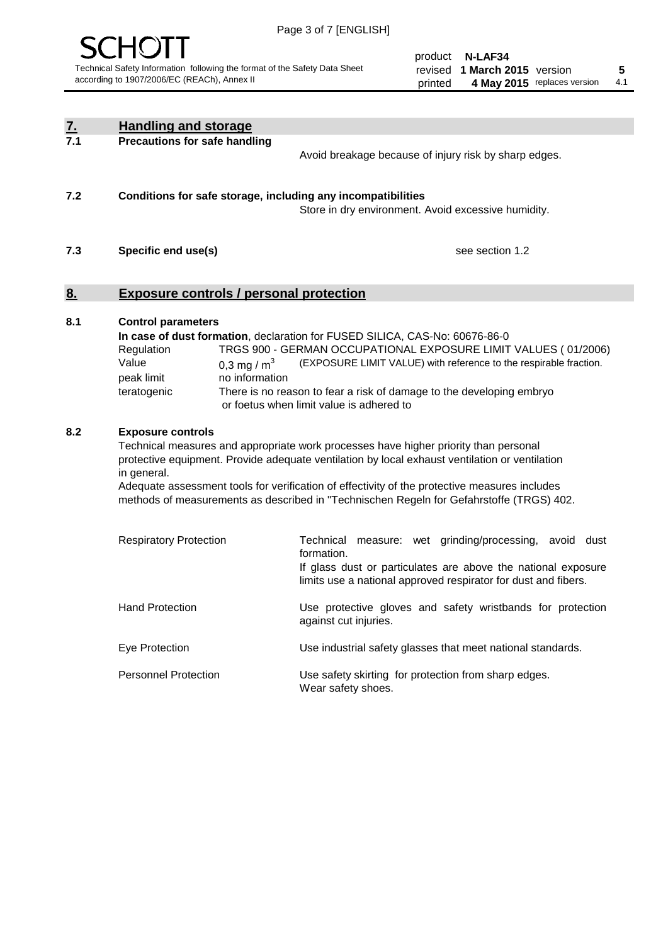

product **N-LAF34** revised **5 1 March 2015** version printed 4 May 2015 replaces version 4.1

| $\underline{\mathbf{7}}$ . | <b>Handling and storage</b>                                                                                      |                                                                                                                                                                                                                                                                                                                                                                                                                                                                                                                                                                                                |
|----------------------------|------------------------------------------------------------------------------------------------------------------|------------------------------------------------------------------------------------------------------------------------------------------------------------------------------------------------------------------------------------------------------------------------------------------------------------------------------------------------------------------------------------------------------------------------------------------------------------------------------------------------------------------------------------------------------------------------------------------------|
| 7.1                        | <b>Precautions for safe handling</b>                                                                             | Avoid breakage because of injury risk by sharp edges.                                                                                                                                                                                                                                                                                                                                                                                                                                                                                                                                          |
| 7.2                        | Conditions for safe storage, including any incompatibilities                                                     | Store in dry environment. Avoid excessive humidity.                                                                                                                                                                                                                                                                                                                                                                                                                                                                                                                                            |
| 7.3                        | Specific end use(s)                                                                                              | see section 1.2                                                                                                                                                                                                                                                                                                                                                                                                                                                                                                                                                                                |
| <u>8.</u>                  | <b>Exposure controls / personal protection</b>                                                                   |                                                                                                                                                                                                                                                                                                                                                                                                                                                                                                                                                                                                |
| 8.1                        | <b>Control parameters</b><br>Regulation<br>Value<br>0,3 mg / $m3$<br>peak limit<br>no information<br>teratogenic | In case of dust formation, declaration for FUSED SILICA, CAS-No: 60676-86-0<br>TRGS 900 - GERMAN OCCUPATIONAL EXPOSURE LIMIT VALUES (01/2006)<br>(EXPOSURE LIMIT VALUE) with reference to the respirable fraction.<br>There is no reason to fear a risk of damage to the developing embryo<br>or foetus when limit value is adhered to                                                                                                                                                                                                                                                         |
| 8.2                        | <b>Exposure controls</b><br>in general.<br><b>Respiratory Protection</b>                                         | Technical measures and appropriate work processes have higher priority than personal<br>protective equipment. Provide adequate ventilation by local exhaust ventilation or ventilation<br>Adequate assessment tools for verification of effectivity of the protective measures includes<br>methods of measurements as described in "Technischen Regeln for Gefahrstoffe (TRGS) 402.<br>Technical measure: wet grinding/processing, avoid dust<br>formation.<br>If glass dust or particulates are above the national exposure<br>limits use a national approved respirator for dust and fibers. |
|                            | <b>Hand Protection</b>                                                                                           | Use protective gloves and safety wristbands for protection<br>against cut injuries.                                                                                                                                                                                                                                                                                                                                                                                                                                                                                                            |
|                            | Eye Protection                                                                                                   | Use industrial safety glasses that meet national standards.                                                                                                                                                                                                                                                                                                                                                                                                                                                                                                                                    |
|                            | <b>Personnel Protection</b>                                                                                      | Use safety skirting for protection from sharp edges.<br>Wear safety shoes.                                                                                                                                                                                                                                                                                                                                                                                                                                                                                                                     |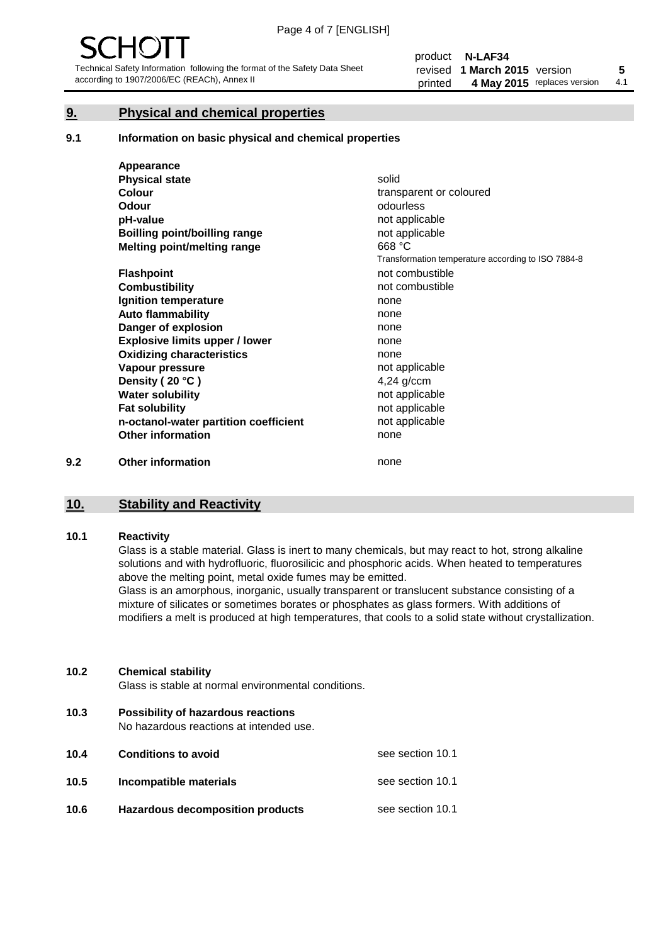#### **9. Physical and chemical properties**

#### **9.1 Information on basic physical and chemical properties**

|     | Appearance                            |                                                    |
|-----|---------------------------------------|----------------------------------------------------|
|     | <b>Physical state</b>                 | solid                                              |
|     | <b>Colour</b>                         | transparent or coloured                            |
|     | <b>Odour</b>                          | odourless                                          |
|     | pH-value                              | not applicable                                     |
|     | Boilling point/boilling range         | not applicable                                     |
|     | Melting point/melting range           | 668 °C                                             |
|     |                                       | Transformation temperature according to ISO 7884-8 |
|     | <b>Flashpoint</b>                     | not combustible                                    |
|     | <b>Combustibility</b>                 | not combustible                                    |
|     | Ignition temperature                  | none                                               |
|     | <b>Auto flammability</b>              | none                                               |
|     | Danger of explosion                   | none                                               |
|     | <b>Explosive limits upper / lower</b> | none                                               |
|     | <b>Oxidizing characteristics</b>      | none                                               |
|     | Vapour pressure                       | not applicable                                     |
|     | Density (20 °C)                       | $4,24$ g/ccm                                       |
|     | <b>Water solubility</b>               | not applicable                                     |
|     | <b>Fat solubility</b>                 | not applicable                                     |
|     | n-octanol-water partition coefficient | not applicable                                     |
|     | <b>Other information</b>              | none                                               |
| 9.2 | <b>Other information</b>              | none                                               |

#### **10. Stability and Reactivity**

#### **10.1 Reactivity**

Glass is a stable material. Glass is inert to many chemicals, but may react to hot, strong alkaline solutions and with hydrofluoric, fluorosilicic and phosphoric acids. When heated to temperatures above the melting point, metal oxide fumes may be emitted.

Glass is an amorphous, inorganic, usually transparent or translucent substance consisting of a mixture of silicates or sometimes borates or phosphates as glass formers. With additions of modifiers a melt is produced at high temperatures, that cools to a solid state without crystallization.

#### **10.2 Chemical stability**

Glass is stable at normal environmental conditions.

**10.3 Possibility of hazardous reactions** 

No hazardous reactions at intended use.

| 10.4 | <b>Conditions to avoid</b>       | see section 10.1 |
|------|----------------------------------|------------------|
| 10.5 | Incompatible materials           | see section 10.1 |
| 10.6 | Hazardous decomposition products | see section 10.1 |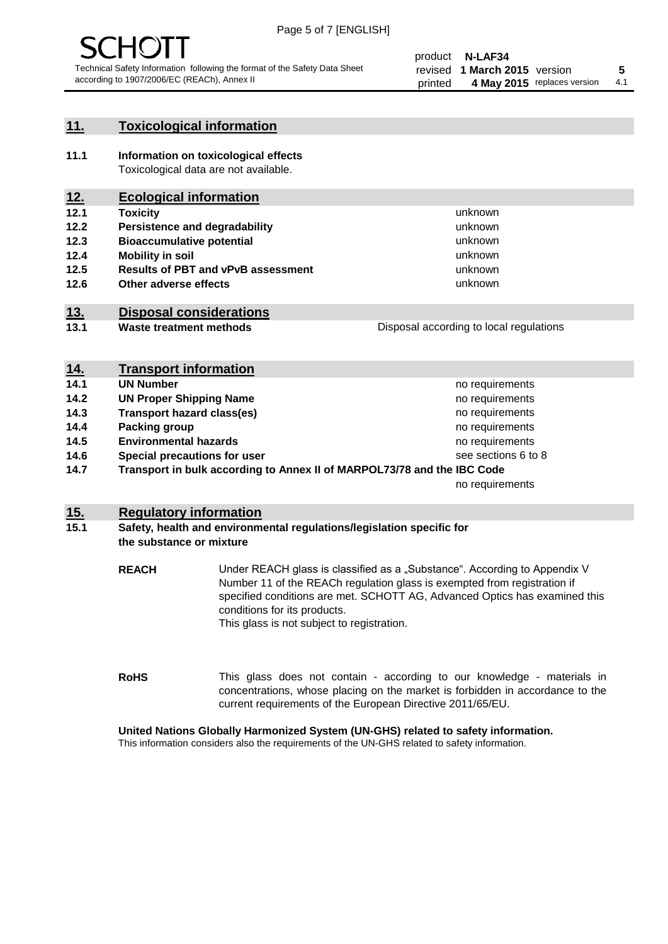

#### **11. Toxicological information**

**11.1 Information on toxicological effects** Toxicological data are not available.

## **12. Ecological information**

- **12.1 Toxicity**
- **12.2 Persistence and degradability**
- **12.3 Bioaccumulative potential**
- **12.4 Mobility in soil**
- **12.5 Results of PBT and vPvB assessment**
- **12.6 Other adverse effects**

#### **13. Disposal considerations**

**13.1 Waste treatment methods**

| Disposal according to local regulations |
|-----------------------------------------|
|                                         |

unknown unknown unknown unknown

unknown unknown

| <u>14.</u> | <b>Transport information</b>                                            |                     |
|------------|-------------------------------------------------------------------------|---------------------|
| 14.1       | <b>UN Number</b>                                                        | no requirements     |
| 14.2       | <b>UN Proper Shipping Name</b>                                          | no requirements     |
| 14.3       | <b>Transport hazard class(es)</b>                                       | no requirements     |
| 14.4       | Packing group                                                           | no requirements     |
| 14.5       | <b>Environmental hazards</b>                                            | no requirements     |
| 14.6       | Special precautions for user                                            | see sections 6 to 8 |
| 14.7       | Transport in bulk according to Annex II of MARPOL73/78 and the IBC Code |                     |
|            |                                                                         | no requirements     |

#### **15. Regulatory information**

#### **15.1 Safety, health and environmental regulations/legislation specific for the substance or mixture**

**REACH** Under REACH glass is classified as a "Substance". According to Appendix V Number 11 of the REACh regulation glass is exempted from registration if specified conditions are met. SCHOTT AG, Advanced Optics has examined this conditions for its products. This glass is not subject to registration.

**RoHS** This glass does not contain - according to our knowledge - materials in concentrations, whose placing on the market is forbidden in accordance to the current requirements of the European Directive 2011/65/EU.

#### **United Nations Globally Harmonized System (UN-GHS) related to safety information.**

This information considers also the requirements of the UN-GHS related to safety information.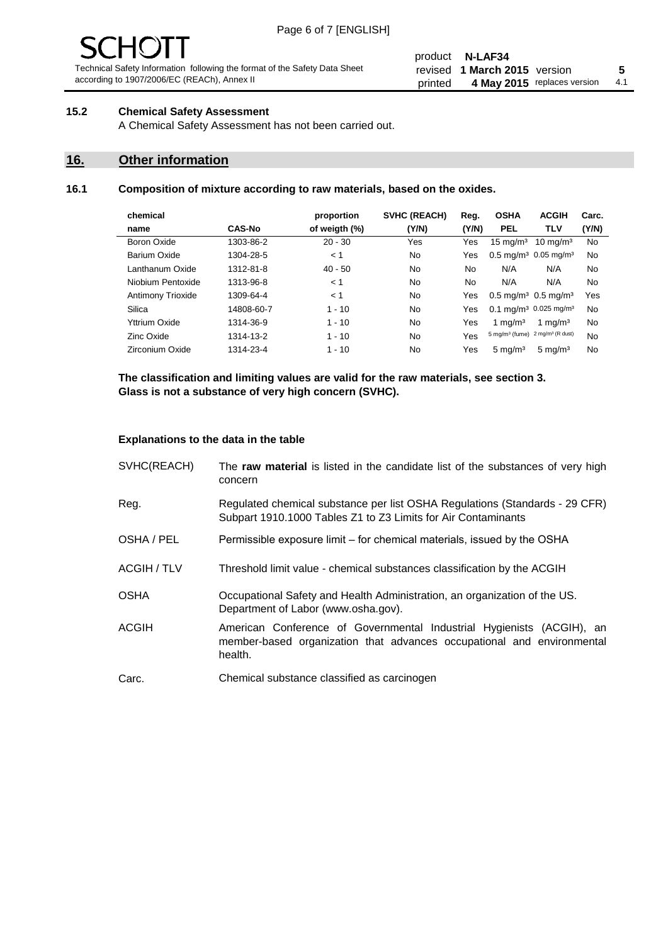# - JF

Technical Safety Information following the format of the Safety Data Sheet according to 1907/2006/EC (REACh), Annex II

#### product **N-LAF34** revised **5 1 March 2015** version printed 4 May 2015 replaces version 4.1

#### **15.2 Chemical Safety Assessment**

A Chemical Safety Assessment has not been carried out.

#### **16. Other information**

#### **16.1 Composition of mixture according to raw materials, based on the oxides.**

| chemical                 |               | proportion    | SVHC (REACH) | Reg.  | <b>OSHA</b>                                   | <b>ACGIH</b>                                 | Carc. |
|--------------------------|---------------|---------------|--------------|-------|-----------------------------------------------|----------------------------------------------|-------|
| name                     | <b>CAS-No</b> | of weigth (%) | (Y/N)        | (Y/N) | <b>PEL</b>                                    | TLV                                          | (Y/N) |
| Boron Oxide              | 1303-86-2     | $20 - 30$     | Yes          | Yes   | $15 \text{ mg/m}^3$                           | $10 \text{ mg/m}^3$                          | No    |
| Barium Oxide             | 1304-28-5     | < 1           | No.          | Yes   | $0.5 \text{ mg/m}^3$ 0.05 mg/m <sup>3</sup>   |                                              | No    |
| Lanthanum Oxide          | 1312-81-8     | $40 - 50$     | No.          | No    | N/A                                           | N/A                                          | No    |
| Niobium Pentoxide        | 1313-96-8     | < 1           | No           | No    | N/A                                           | N/A                                          | No    |
| <b>Antimony Trioxide</b> | 1309-64-4     | < 1           | No.          | Yes   | $0.5 \,\mathrm{mq/m^3}$ 0.5 mg/m <sup>3</sup> |                                              | Yes   |
| Silica                   | 14808-60-7    | $1 - 10$      | No.          | Yes   |                                               | $0.1 \text{ mg/m}^3$ 0.025 mg/m <sup>3</sup> | No    |
| Yttrium Oxide            | 1314-36-9     | $1 - 10$      | No           | Yes   | 1 mg/m <sup>3</sup>                           | 1 mg/m <sup>3</sup>                          | No    |
| Zinc Oxide               | 1314-13-2     | $1 - 10$      | No.          | Yes   | $5 \text{ mg/m}^3$ (fume)                     | 2 mg/m <sup>3</sup> (R dust)                 | No    |
| Zirconium Oxide          | 1314-23-4     | $1 - 10$      | No           | Yes   | $5 \text{ mg/m}^3$                            | $5 \text{ mg/m}^3$                           | No    |

**The classification and limiting values are valid for the raw materials, see section 3. Glass is not a substance of very high concern (SVHC).**

#### **Explanations to the data in the table**

| SVHC(REACH)        | The raw material is listed in the candidate list of the substances of very high<br>concern                                                                 |
|--------------------|------------------------------------------------------------------------------------------------------------------------------------------------------------|
| Reg.               | Regulated chemical substance per list OSHA Regulations (Standards - 29 CFR)<br>Subpart 1910.1000 Tables Z1 to Z3 Limits for Air Contaminants               |
| OSHA / PEL         | Permissible exposure limit – for chemical materials, issued by the OSHA                                                                                    |
| <b>ACGIH / TLV</b> | Threshold limit value - chemical substances classification by the ACGIH                                                                                    |
| <b>OSHA</b>        | Occupational Safety and Health Administration, an organization of the US.<br>Department of Labor (www.osha.gov).                                           |
| <b>ACGIH</b>       | American Conference of Governmental Industrial Hygienists (ACGIH), an<br>member-based organization that advances occupational and environmental<br>health. |
| Carc.              | Chemical substance classified as carcinogen                                                                                                                |